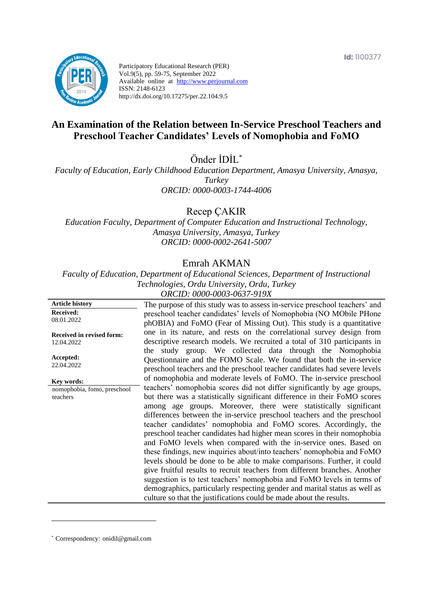

Participatory Educational Research (PER) Vol.9(5), pp. 59-75, September 2022 Available online at http://www.perjournal.com ISSN: 2148-6123 http://dx.doi.org/10.17275/per.22.104.9.5

# **An Examination of the Relation between In-Service Preschool Teachers and Preschool Teacher Candidates' Levels of Nomophobia and FoMO**

Önder İDİL\*

*Faculty of Education, Early Childhood Education Department, Amasya University, Amasya, Turkey ORCID: 0000-0003-1744-4006*

Recep ÇAKIR

*Education Faculty, Department of Computer Education and Instructional Technology, Amasya University, Amasya, Turkey ORCID: 0000-0002-2641-5007*

# Emrah AKMAN

*Faculty of Education, Department of Educational Sciences, Department of Instructional Technologies, Ordu University, Ordu, Turkey ORCID: 0000-0003-0637-919X*

**Article history Received:**  08.01.2022 **Received in revised form:**  12.04.2022 **Accepted:** 22.04.2022 The purpose of this study was to assess in-service preschool teachers' and preschool teacher candidates' levels of Nomophobia (NO MObile PHone phOBIA) and FoMO (Fear of Missing Out). This study is a quantitative one in its nature, and rests on the correlational survey design from descriptive research models. We recruited a total of 310 participants in the study group. We collected data through the Nomophobia Questionnaire and the FOMO Scale. We found that both the in-service preschool teachers and the preschool teacher candidates had severe levels of nomophobia and moderate levels of FoMO. The in-service preschool teachers' nomophobia scores did not differ significantly by age groups, but there was a statistically significant difference in their FoMO scores among age groups. Moreover, there were statistically significant differences between the in-service preschool teachers and the preschool teacher candidates' nomophobia and FoMO scores. Accordingly, the preschool teacher candidates had higher mean scores in their nomophobia and FoMO levels when compared with the in-service ones. Based on these findings, new inquiries about/into teachers' nomophobia and FoMO levels should be done to be able to make comparisons. Further, it could give fruitful results to recruit teachers from different branches. Another suggestion is to test teachers' nomophobia and FoMO levels in terms of demographics, particularly respecting gender and marital status as well as culture so that the justifications could be made about the results. **Key words:** nomophobia, fomo, preschool teachers

\* [Correspondency:](mailto:Correspondency:) onidil@gmail.com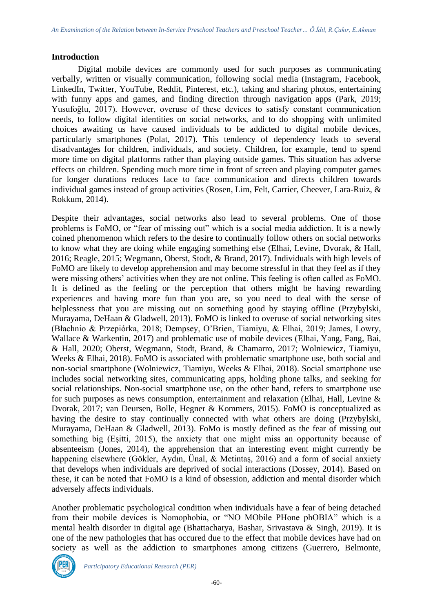#### **Introduction**

Digital mobile devices are commonly used for such purposes as communicating verbally, written or visually communication, following social media (Instagram, Facebook, LinkedIn, Twitter, YouTube, Reddit, Pinterest, etc.), taking and sharing photos, entertaining with funny apps and games, and finding direction through navigation apps (Park, 2019; Yusufoğlu, 2017). However, overuse of these devices to satisfy constant communication needs, to follow digital identities on social networks, and to do shopping with unlimited choices awaiting us have caused individuals to be addicted to digital mobile devices, particularly smartphones (Polat, 2017). This tendency of dependency leads to several disadvantages for children, individuals, and society. Children, for example, tend to spend more time on digital platforms rather than playing outside games. This situation has adverse effects on children. Spending much more time in front of screen and playing computer games for longer durations reduces face to face communication and directs children towards individual games instead of group activities (Rosen, Lim, Felt, Carrier, Cheever, Lara-Ruiz, & Rokkum, 2014).

Despite their advantages, social networks also lead to several problems. One of those problems is FoMO, or "fear of missing out" which is a social media addiction. It is a newly coined phenomenon which refers to the desire to continually follow others on social networks to know what they are doing while engaging something else (Elhai, Levine, Dvorak, & Hall, 2016; Reagle, 2015; Wegmann, Oberst, Stodt, & Brand, 2017). Individuals with high levels of FoMO are likely to develop apprehension and may become stressful in that they feel as if they were missing others' activities when they are not online. This feeling is often called as FoMO. It is defined as the feeling or the perception that others might be having rewarding experiences and having more fun than you are, so you need to deal with the sense of helplessness that you are missing out on something good by staying offline (Przybylski, Murayama, DeHaan & Gladwell, 2013). FoMO is linked to overuse of social networking sites (Błachnio & Przepiórka, 2018; Dempsey, O'Brien, Tiamiyu, & Elhai, 2019; James, Lowry, Wallace & Warkentin, 2017) and problematic use of mobile devices (Elhai, Yang, Fang, Bai, & Hall, 2020; Oberst, Wegmann, Stodt, Brand, & Chamarro, 2017; Wolniewicz, Tiamiyu, Weeks & Elhai, 2018). FoMO is associated with problematic smartphone use, both social and non-social smartphone (Wolniewicz, Tiamiyu, Weeks & Elhai, 2018). Social smartphone use includes social networking sites, communicating apps, holding phone talks, and seeking for social relationships. Non-social smartphone use, on the other hand, refers to smartphone use for such purposes as news consumption, entertainment and relaxation (Elhai, Hall, Levine & Dvorak, 2017; van Deursen, Bolle, Hegner & Kommers, 2015). FoMO is conceptualized as having the desire to stay continually connected with what others are doing (Przybylski, Murayama, DeHaan & Gladwell, 2013). FoMo is mostly defined as the fear of missing out something big (Eşitti, 2015), the anxiety that one might miss an opportunity because of absenteeism (Jones, 2014), the apprehension that an interesting event might currently be happening elsewhere (Gökler, Aydın, Ünal, & Metintaş, 2016) and a form of social anxiety that develops when individuals are deprived of social interactions (Dossey, 2014). Based on these, it can be noted that FoMO is a kind of obsession, addiction and mental disorder which adversely affects individuals.

Another problematic psychological condition when individuals have a fear of being detached from their mobile devices is Nomophobia, or "NO MObile PHone phOBIA" which is a mental health disorder in digital age (Bhattacharya, Bashar, Srivastava & Singh, 2019). It is one of the new pathologies that has occured due to the effect that mobile devices have had on society as well as the addiction to smartphones among citizens (Guerrero, Belmonte,

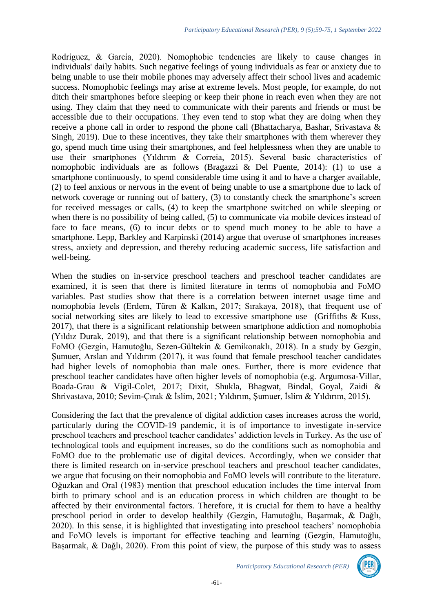Rodríguez, & García, 2020). Nomophobic tendencies are likely to cause changes in individuals' daily habits. Such negative feelings of young individuals as fear or anxiety due to being unable to use their mobile phones may adversely affect their school lives and academic success. Nomophobic feelings may arise at extreme levels. Most people, for example, do not ditch their smartphones before sleeping or keep their phone in reach even when they are not using. They claim that they need to communicate with their parents and friends or must be accessible due to their occupations. They even tend to stop what they are doing when they receive a phone call in order to respond the phone call (Bhattacharya, Bashar, Srivastava & Singh, 2019). Due to these incentives, they take their smartphones with them wherever they go, spend much time using their smartphones, and feel helplessness when they are unable to use their smartphones (Yıldırım & Correia, 2015). Several basic characteristics of nomophobic individuals are as follows (Bragazzi & Del Puente, 2014): (1) to use a smartphone continuously, to spend considerable time using it and to have a charger available, (2) to feel anxious or nervous in the event of being unable to use a smartphone due to lack of network coverage or running out of battery, (3) to constantly check the smartphone's screen for received messages or calls, (4) to keep the smartphone switched on while sleeping or when there is no possibility of being called, (5) to communicate via mobile devices instead of face to face means, (6) to incur debts or to spend much money to be able to have a smartphone. Lepp, Barkley and Karpinski (2014) argue that overuse of smartphones increases stress, anxiety and depression, and thereby reducing academic success, life satisfaction and well-being.

When the studies on in-service preschool teachers and preschool teacher candidates are examined, it is seen that there is limited literature in terms of nomophobia and FoMO variables. Past studies show that there is a correlation between internet usage time and nomophobia levels (Erdem, Türen & Kalkın, 2017; Sırakaya, 2018), that frequent use of social networking sites are likely to lead to excessive smartphone use (Griffiths & Kuss, 2017), that there is a significant relationship between smartphone addiction and nomophobia (Yıldız Durak, 2019), and that there is a significant relationship between nomophobia and FoMO (Gezgin, Hamutoğlu, Sezen-Gültekin & Gemikonaklı, 2018). In a study by Gezgin, Sumuer, Arslan and Yıldırım (2017), it was found that female preschool teacher candidates had higher levels of nomophobia than male ones. Further, there is more evidence that preschool teacher candidates have often higher levels of nomophobia (e.g. Argumosa-Villar, Boada-Grau & Vigil-Colet, 2017; Dixit, Shukla, Bhagwat, Bindal, Goyal, Zaidi & Shrivastava, 2010; Sevim-Çırak & İslim, 2021; Yıldırım, Şumuer, İslim & Yıldırım, 2015).

Considering the fact that the prevalence of digital addiction cases increases across the world, particularly during the COVID-19 pandemic, it is of importance to investigate in-service preschool teachers and preschool teacher candidates' addiction levels in Turkey. As the use of technological tools and equipment increases, so do the conditions such as nomophobia and FoMO due to the problematic use of digital devices. Accordingly, when we consider that there is limited research on in-service preschool teachers and preschool teacher candidates, we argue that focusing on their nomophobia and FoMO levels will contribute to the literature. Oğuzkan and Oral (1983) mention that preschool education includes the time interval from birth to primary school and is an education process in which children are thought to be affected by their environmental factors. Therefore, it is crucial for them to have a healthy preschool period in order to develop healthily (Gezgin, Hamutoğlu, Başarmak, & Dağlı, 2020). In this sense, it is highlighted that investigating into preschool teachers' nomophobia and FoMO levels is important for effective teaching and learning (Gezgin, Hamutoğlu, Başarmak, & Dağlı, 2020). From this point of view, the purpose of this study was to assess

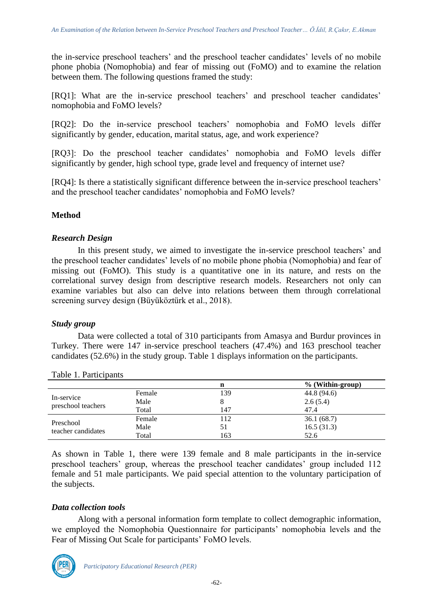the in-service preschool teachers' and the preschool teacher candidates' levels of no mobile phone phobia (Nomophobia) and fear of missing out (FoMO) and to examine the relation between them. The following questions framed the study:

[RQ1]: What are the in-service preschool teachers' and preschool teacher candidates' nomophobia and FoMO levels?

[RQ2]: Do the in-service preschool teachers' nomophobia and FoMO levels differ significantly by gender, education, marital status, age, and work experience?

[RQ3]: Do the preschool teacher candidates' nomophobia and FoMO levels differ significantly by gender, high school type, grade level and frequency of internet use?

[RQ4]: Is there a statistically significant difference between the in-service preschool teachers' and the preschool teacher candidates' nomophobia and FoMO levels?

# **Method**

#### *Research Design*

In this present study, we aimed to investigate the in-service preschool teachers' and the preschool teacher candidates' levels of no mobile phone phobia (Nomophobia) and fear of missing out (FoMO). This study is a quantitative one in its nature, and rests on the correlational survey design from descriptive research models. Researchers not only can examine variables but also can delve into relations between them through correlational screening survey design (Büyüköztürk et al., 2018).

# *Study group*

Data were collected a total of 310 participants from Amasya and Burdur provinces in Turkey. There were 147 in-service preschool teachers (47.4%) and 163 preschool teacher candidates (52.6%) in the study group. Table 1 displays information on the participants.

|                                  |        | n   | % (Within-group) |
|----------------------------------|--------|-----|------------------|
|                                  | Female | 139 | 44.8 (94.6)      |
| In-service<br>preschool teachers | Male   |     | 2.6(5.4)         |
|                                  | Total  | 147 | 47.4             |
| Preschool<br>teacher candidates  | Female | 112 | 36.1(68.7)       |
|                                  | Male   |     | 16.5(31.3)       |
|                                  | Total  | 163 | 52.6             |

As shown in Table 1, there were 139 female and 8 male participants in the in-service preschool teachers' group, whereas the preschool teacher candidates' group included 112 female and 51 male participants. We paid special attention to the voluntary participation of the subjects.

#### *Data collection tools*

Along with a personal information form template to collect demographic information, we employed the Nomophobia Questionnaire for participants' nomophobia levels and the Fear of Missing Out Scale for participants' FoMO levels.

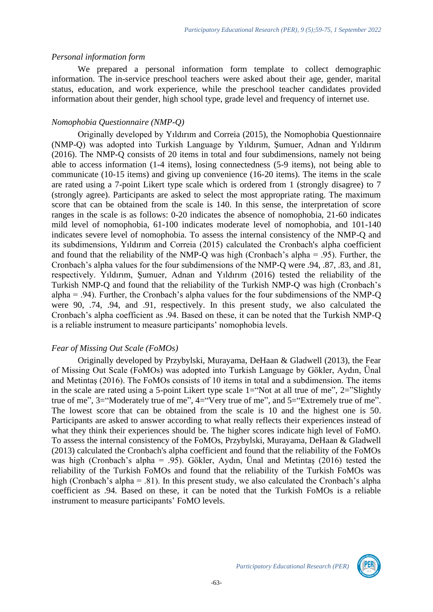#### *Personal information form*

We prepared a personal information form template to collect demographic information. The in-service preschool teachers were asked about their age, gender, marital status, education, and work experience, while the preschool teacher candidates provided information about their gender, high school type, grade level and frequency of internet use.

# *Nomophobia Questionnaire (NMP-Q)*

Originally developed by Yıldırım and Correia (2015), the Nomophobia Questionnaire (NMP-Q) was adopted into Turkish Language by Yıldırım, Şumuer, Adnan and Yıldırım (2016). The NMP-Q consists of 20 items in total and four subdimensions, namely not being able to access information (1-4 items), losing connectedness (5-9 items), not being able to communicate (10-15 items) and giving up convenience (16-20 items). The items in the scale are rated using a 7-point Likert type scale which is ordered from 1 (strongly disagree) to 7 (strongly agree). Participants are asked to select the most appropriate rating. The maximum score that can be obtained from the scale is 140. In this sense, the interpretation of score ranges in the scale is as follows: 0-20 indicates the absence of nomophobia, 21-60 indicates mild level of nomophobia, 61-100 indicates moderate level of nomophobia, and 101-140 indicates severe level of nomophobia. To assess the internal consistency of the NMP-Q and its subdimensions, Yıldırım and Correia (2015) calculated the Cronbach's alpha coefficient and found that the reliability of the NMP-Q was high (Cronbach's alpha = .95). Further, the Cronbach's alpha values for the four subdimensions of the NMP-Q were .94, .87, .83, and .81, respectively. Yıldırım, Şumuer, Adnan and Yıldırım (2016) tested the reliability of the Turkish NMP-Q and found that the reliability of the Turkish NMP-Q was high (Cronbach's alpha = .94). Further, the Cronbach's alpha values for the four subdimensions of the NMP-Q were 90, .74, .94, and .91, respectively. In this present study, we also calculated the Cronbach's alpha coefficient as .94. Based on these, it can be noted that the Turkish NMP-Q is a reliable instrument to measure participants' nomophobia levels.

# *Fear of Missing Out Scale (FoMOs)*

Originally developed by Przybylski, Murayama, DeHaan & Gladwell (2013), the Fear of Missing Out Scale (FoMOs) was adopted into Turkish Language by Gökler, Aydın, Ünal and Metintaş (2016). The FoMOs consists of 10 items in total and a subdimension. The items in the scale are rated using a 5-point Likert type scale  $1 =$ "Not at all true of me",  $2 =$ "Slightly true of me", 3="Moderately true of me", 4="Very true of me", and 5="Extremely true of me". The lowest score that can be obtained from the scale is 10 and the highest one is 50. Participants are asked to answer according to what really reflects their experiences instead of what they think their experiences should be. The higher scores indicate high level of FoMO. To assess the internal consistency of the FoMOs, Przybylski, Murayama, DeHaan & Gladwell (2013) calculated the Cronbach's alpha coefficient and found that the reliability of the FoMOs was high (Cronbach's alpha = .95). Gökler, Aydın, Ünal and Metintaş (2016) tested the reliability of the Turkish FoMOs and found that the reliability of the Turkish FoMOs was high (Cronbach's alpha = .81). In this present study, we also calculated the Cronbach's alpha coefficient as .94. Based on these, it can be noted that the Turkish FoMOs is a reliable instrument to measure participants' FoMO levels.

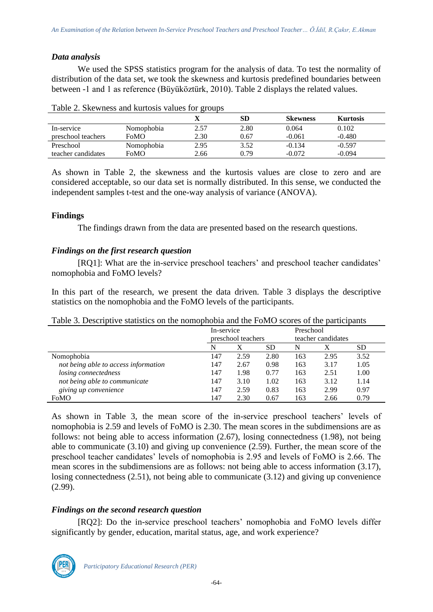# *Data analysis*

We used the SPSS statistics program for the analysis of data. To test the normality of distribution of the data set, we took the skewness and kurtosis predefined boundaries between between -1 and 1 as reference (Büyüköztürk, 2010). Table 2 displays the related values.

|                    |             |      | SD   | <b>Skewness</b> | <b>Kurtosis</b> |
|--------------------|-------------|------|------|-----------------|-----------------|
| In-service         | Nomophobia  | 2.57 | 2.80 | 0.064           | 0.102           |
| preschool teachers | <b>FoMO</b> | 2.30 | 0.67 | $-0.061$        | $-0.480$        |
| Preschool          | Nomophobia  | 2.95 | 3.52 | $-0.134$        | $-0.597$        |
| teacher candidates | FoMO        | 2.66 | 0.79 | $-0.072$        | $-0.094$        |

As shown in Table 2, the skewness and the kurtosis values are close to zero and are considered acceptable, so our data set is normally distributed. In this sense, we conducted the independent samples t-test and the one-way analysis of variance (ANOVA).

#### **Findings**

The findings drawn from the data are presented based on the research questions.

#### *Findings on the first research question*

[RQ1]: What are the in-service preschool teachers' and preschool teacher candidates' nomophobia and FoMO levels?

In this part of the research, we present the data driven. Table 3 displays the descriptive statistics on the nomophobia and the FoMO levels of the participants.

| Table 3. Descriptive statistics on the nomophobia and the FoMO scores of the participants |  |  |  |  |
|-------------------------------------------------------------------------------------------|--|--|--|--|
|                                                                                           |  |  |  |  |

|                                      | In-service         |      | Preschool |                    |      |           |
|--------------------------------------|--------------------|------|-----------|--------------------|------|-----------|
|                                      | preschool teachers |      |           | teacher candidates |      |           |
|                                      | N                  | Х    | <b>SD</b> | N                  |      | <b>SD</b> |
| Nomophobia                           | 147                | 2.59 | 2.80      | 163                | 2.95 | 3.52      |
| not being able to access information | 147                | 2.67 | 0.98      | 163                | 3.17 | 1.05      |
| losing connectedness                 | 147                | 1.98 | 0.77      | 163                | 2.51 | 1.00      |
| not being able to communicate        | 147                | 3.10 | 1.02      | 163                | 3.12 | 1.14      |
| giving up convenience                | 147                | 2.59 | 0.83      | 163                | 2.99 | 0.97      |
| FoMO                                 | 147                | 2.30 | 0.67      | 163                | 2.66 | 0.79      |

As shown in Table 3, the mean score of the in-service preschool teachers' levels of nomophobia is 2.59 and levels of FoMO is 2.30. The mean scores in the subdimensions are as follows: not being able to access information (2.67), losing connectedness (1.98), not being able to communicate (3.10) and giving up convenience (2.59). Further, the mean score of the preschool teacher candidates' levels of nomophobia is 2.95 and levels of FoMO is 2.66. The mean scores in the subdimensions are as follows: not being able to access information (3.17), losing connectedness (2.51), not being able to communicate (3.12) and giving up convenience (2.99).

# *Findings on the second research question*

[RQ2]: Do the in-service preschool teachers' nomophobia and FoMO levels differ significantly by gender, education, marital status, age, and work experience?

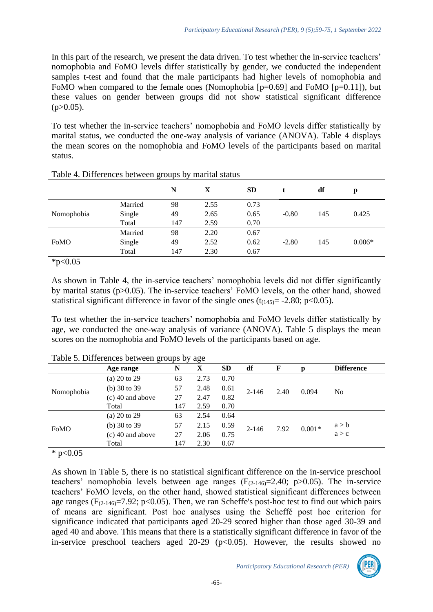In this part of the research, we present the data driven. To test whether the in-service teachers' nomophobia and FoMO levels differ statistically by gender, we conducted the independent samples t-test and found that the male participants had higher levels of nomophobia and FoMO when compared to the female ones (Nomophobia [p=0.69] and FoMO [p=0.11]), but these values on gender between groups did not show statistical significant difference  $(p>0.05)$ .

To test whether the in-service teachers' nomophobia and FoMO levels differ statistically by marital status, we conducted the one-way analysis of variance (ANOVA). Table 4 displays the mean scores on the nomophobia and FoMO levels of the participants based on marital status.

|            |         | N   | X    | <b>SD</b> |         | df  | p        |
|------------|---------|-----|------|-----------|---------|-----|----------|
|            | Married | 98  | 2.55 | 0.73      |         |     |          |
| Nomophobia | Single  | 49  | 2.65 | 0.65      | $-0.80$ | 145 | 0.425    |
|            | Total   | 147 | 2.59 | 0.70      |         |     |          |
|            | Married | 98  | 2.20 | 0.67      |         |     |          |
| FoMO       | Single  | 49  | 2.52 | 0.62      | $-2.80$ | 145 | $0.006*$ |
|            | Total   | 147 | 2.30 | 0.67      |         |     |          |
|            |         |     |      |           |         |     |          |

| Table 4. Differences between groups by marital status |  |  |
|-------------------------------------------------------|--|--|
|-------------------------------------------------------|--|--|

 $*p<0.05$ 

As shown in Table 4, the in-service teachers' nomophobia levels did not differ significantly by marital status (p>0.05). The in-service teachers' FoMO levels, on the other hand, showed statistical significant difference in favor of the single ones  $(t<sub>(145)</sub>)$  = -2.80; p<0.05).

To test whether the in-service teachers' nomophobia and FoMO levels differ statistically by age, we conducted the one-way analysis of variance (ANOVA). Table 5 displays the mean scores on the nomophobia and FoMO levels of the participants based on age.

|             |                         | $P^{\text{sc}}$ |      |           |           |      |          |                   |  |
|-------------|-------------------------|-----------------|------|-----------|-----------|------|----------|-------------------|--|
|             | Age range               | N               | X    | <b>SD</b> | df        | F    | р        | <b>Difference</b> |  |
|             | (a) $20 \text{ to } 29$ | 63              | 2.73 | 0.70      |           |      |          |                   |  |
| Nomophobia  | (b) $30$ to $39$        | 57              | 2.48 | 0.61      | $2 - 146$ | 2.40 | 0.094    | N <sub>0</sub>    |  |
|             | $(c)$ 40 and above      | 27              | 2.47 | 0.82      |           |      |          |                   |  |
|             | Total                   | 147             | 2.59 | 0.70      |           |      |          |                   |  |
|             | (a) $20 \text{ to } 29$ | 63              | 2.54 | 0.64      |           |      |          |                   |  |
| <b>FoMO</b> | (b) $30 \text{ to } 39$ | 57              | 2.15 | 0.59      | $2 - 146$ | 7.92 | $0.001*$ | a > b             |  |
|             | $(c)$ 40 and above      | 27              | 2.06 | 0.75      |           |      |          | a > c             |  |
|             | Total                   | 147             | 2.30 | 0.67      |           |      |          |                   |  |
|             |                         |                 |      |           |           |      |          |                   |  |

|  |  | Table 5. Differences between groups by age |  |  |  |  |
|--|--|--------------------------------------------|--|--|--|--|
|--|--|--------------------------------------------|--|--|--|--|

 $*$  p<0.05

As shown in Table 5, there is no statistical significant difference on the in-service preschool teachers' nomophobia levels between age ranges  $(F_{(2-146)}=2.40; p>0.05)$ . The in-service teachers' FoMO levels, on the other hand, showed statistical significant differences between age ranges ( $F_{(2-146)} = 7.92$ ; p<0.05). Then, we ran Scheffe's post-hoc test to find out which pairs of means are significant. Post hoc analyses using the Scheffé post hoc criterion for significance indicated that participants aged 20-29 scored higher than those aged 30-39 and aged 40 and above. This means that there is a statistically significant difference in favor of the in-service preschool teachers aged  $20-29$  ( $p<0.05$ ). However, the results showed no

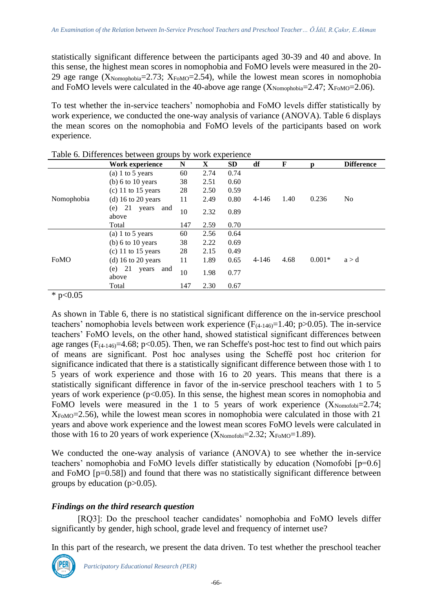statistically significant difference between the participants aged 30-39 and 40 and above. In this sense, the highest mean scores in nomophobia and FoMO levels were measured in the 20- 29 age range ( $X_{\text{Nonophobia}}$ =2.73;  $X_{\text{FoMO}}$ =2.54), while the lowest mean scores in nomophobia and FoMO levels were calculated in the 40-above age range  $(X_{\text{Nonophobia}}=2.47; X_{\text{FoMO}}=2.06)$ .

To test whether the in-service teachers' nomophobia and FoMO levels differ statistically by work experience, we conducted the one-way analysis of variance (ANOVA). Table 6 displays the mean scores on the nomophobia and FoMO levels of the participants based on work experience.

|                    | Work experience                    | N   | X    | SD   | df        | F    | $\mathbf{p}$ | <b>Difference</b> |
|--------------------|------------------------------------|-----|------|------|-----------|------|--------------|-------------------|
|                    | (a) 1 to 5 years                   | 60  | 2.74 | 0.74 |           |      |              |                   |
|                    | $(b)$ 6 to 10 years                | 38  | 2.51 | 0.60 |           |      |              |                   |
|                    | $(c)$ 11 to 15 years               | 28  | 2.50 | 0.59 |           |      |              |                   |
| Nomophobia<br>FoMO | (d) 16 to 20 years                 | 11  | 2.49 | 0.80 | $4 - 146$ | 1.40 | 0.236        | N <sub>0</sub>    |
|                    | 21<br>(e)<br>years<br>and<br>above | 10  | 2.32 | 0.89 |           |      |              |                   |
|                    | Total                              | 147 | 2.59 | 0.70 |           |      |              |                   |
|                    | (a) 1 to 5 years                   | 60  | 2.56 | 0.64 |           |      |              |                   |
|                    | (b) 6 to 10 years                  | 38  | 2.22 | 0.69 |           |      |              |                   |
|                    | $(c)$ 11 to 15 years               | 28  | 2.15 | 0.49 |           |      |              |                   |
|                    | (d) $16$ to $20$ years             | 11  | 1.89 | 0.65 | $4 - 146$ | 4.68 | $0.001*$     | a > d             |
|                    | 21<br>(e)<br>years<br>and<br>above | 10  | 1.98 | 0.77 |           |      |              |                   |
|                    | Total                              | 147 | 2.30 | 0.67 |           |      |              |                   |

|  | Table 6. Differences between groups by work experience |  |  |  |  |
|--|--------------------------------------------------------|--|--|--|--|
|--|--------------------------------------------------------|--|--|--|--|

 $*$  p<0.05

As shown in Table 6, there is no statistical significant difference on the in-service preschool teachers' nomophobia levels between work experience  $(F_{(4-146)}=1.40; p>0.05)$ . The in-service teachers' FoMO levels, on the other hand, showed statistical significant differences between age ranges ( $F_{(4-146)}=4.68$ ; p<0.05). Then, we ran Scheffe's post-hoc test to find out which pairs of means are significant. Post hoc analyses using the Scheffé post hoc criterion for significance indicated that there is a statistically significant difference between those with 1 to 5 years of work experience and those with 16 to 20 years. This means that there is a statistically significant difference in favor of the in-service preschool teachers with 1 to 5 years of work experience  $(p<0.05)$ . In this sense, the highest mean scores in nomophobia and FoMO levels were measured in the 1 to 5 years of work experience  $(X_{\text{Nonofobi}}=2.74;$ XFoMO=2.56), while the lowest mean scores in nomophobia were calculated in those with 21 years and above work experience and the lowest mean scores FoMO levels were calculated in those with 16 to 20 years of work experience  $(X_{\text{Nomofobi}}=2.32; X_{\text{FoMO}}=1.89)$ .

We conducted the one-way analysis of variance (ANOVA) to see whether the in-service teachers' nomophobia and FoMO levels differ statistically by education (Nomofobi [p=0.6] and FoMO [p=0.58]) and found that there was no statistically significant difference between groups by education  $(p>0.05)$ .

# *Findings on the third research question*

[RQ3]: Do the preschool teacher candidates' nomophobia and FoMO levels differ significantly by gender, high school, grade level and frequency of internet use?

In this part of the research, we present the data driven. To test whether the preschool teacher

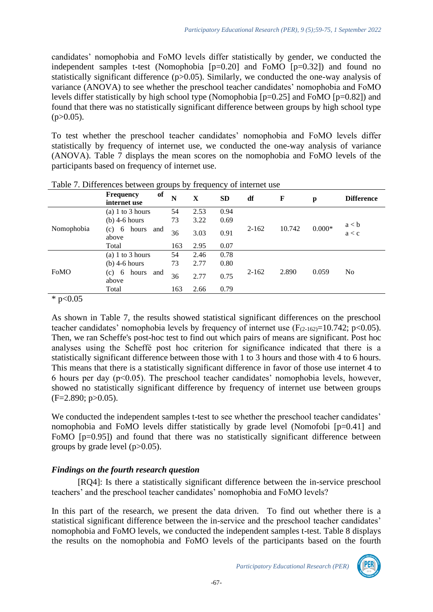candidates' nomophobia and FoMO levels differ statistically by gender, we conducted the independent samples t-test (Nomophobia [p=0.20] and FoMO [p=0.32]) and found no statistically significant difference (p>0.05). Similarly, we conducted the one-way analysis of variance (ANOVA) to see whether the preschool teacher candidates' nomophobia and FoMO levels differ statistically by high school type (Nomophobia [p=0.25] and FoMO [p=0.82]) and found that there was no statistically significant difference between groups by high school type  $(p>0.05)$ .

To test whether the preschool teacher candidates' nomophobia and FoMO levels differ statistically by frequency of internet use, we conducted the one-way analysis of variance (ANOVA). Table 7 displays the mean scores on the nomophobia and FoMO levels of the participants based on frequency of internet use.

|            | of<br><b>Frequency</b><br>internet use | N   | X    | <b>SD</b> | df        | $\mathbf F$ | p        | <b>Difference</b> |
|------------|----------------------------------------|-----|------|-----------|-----------|-------------|----------|-------------------|
| Nomophobia | (a) 1 to 3 hours                       | 54  | 2.53 | 0.94      | $2 - 162$ | 10.742      | $0.000*$ |                   |
|            | $(b)$ 4-6 hours                        | 73  | 3.22 | 0.69      |           |             |          |                   |
|            | hours<br>(c) 6<br>and<br>above         | 36  | 3.03 | 0.91      |           |             |          | a < b<br>a < c    |
|            | Total                                  | 163 | 2.95 | 0.07      |           |             |          |                   |
| FoMO       | (a) $1$ to $3$ hours                   | 54  | 2.46 | 0.78      | $2 - 162$ | 2.890       | 0.059    | No                |
|            | $(b)$ 4-6 hours                        | 73  | 2.77 | 0.80      |           |             |          |                   |
|            | (c) 6<br>hours<br>and<br>above         | 36  | 2.77 | 0.75      |           |             |          |                   |
|            | Total                                  | 163 | 2.66 | 0.79      |           |             |          |                   |
| .          |                                        |     |      |           |           |             |          |                   |

Table 7. Differences between groups by frequency of internet use

\*  $p<0.05$ 

As shown in Table 7, the results showed statistical significant differences on the preschool teacher candidates' nomophobia levels by frequency of internet use  $(F_{(2-162)}=10.742; p<0.05)$ . Then, we ran Scheffe's post-hoc test to find out which pairs of means are significant. Post hoc analyses using the Scheffé post hoc criterion for significance indicated that there is a statistically significant difference between those with 1 to 3 hours and those with 4 to 6 hours. This means that there is a statistically significant difference in favor of those use internet 4 to 6 hours per day  $(p<0.05)$ . The preschool teacher candidates' nomophobia levels, however, showed no statistically significant difference by frequency of internet use between groups  $(F=2.890; p>0.05)$ .

We conducted the independent samples t-test to see whether the preschool teacher candidates' nomophobia and FoMO levels differ statistically by grade level (Nomofobi [p=0.41] and FoMO [p=0.95]) and found that there was no statistically significant difference between groups by grade level  $(p>0.05)$ .

# *Findings on the fourth research question*

[RQ4]: Is there a statistically significant difference between the in-service preschool teachers' and the preschool teacher candidates' nomophobia and FoMO levels?

In this part of the research, we present the data driven. To find out whether there is a statistical significant difference between the in-service and the preschool teacher candidates' nomophobia and FoMO levels, we conducted the independent samples t-test. Table 8 displays the results on the nomophobia and FoMO levels of the participants based on the fourth

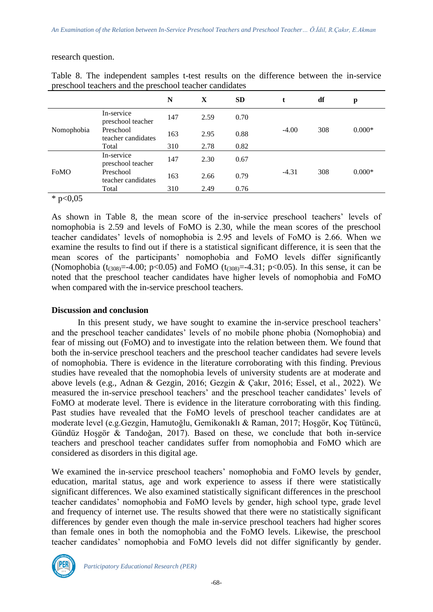research question.

|            |                                 | N   | X    | <b>SD</b> |         | df  | p        |
|------------|---------------------------------|-----|------|-----------|---------|-----|----------|
| Nomophobia | In-service<br>preschool teacher | 147 | 2.59 | 0.70      | $-4.00$ | 308 | $0.000*$ |
|            | Preschool<br>teacher candidates | 163 | 2.95 | 0.88      |         |     |          |
|            | Total                           | 310 | 2.78 | 0.82      |         |     |          |
| FoMO       | In-service<br>preschool teacher | 147 | 2.30 | 0.67      | $-4.31$ | 308 | $0.000*$ |
|            | Preschool<br>teacher candidates | 163 | 2.66 | 0.79      |         |     |          |
|            | Total                           | 310 | 2.49 | 0.76      |         |     |          |

Table 8. The independent samples t-test results on the difference between the in-service preschool teachers and the preschool teacher candidates

\*  $p<0,05$ 

As shown in Table 8, the mean score of the in-service preschool teachers' levels of nomophobia is 2.59 and levels of FoMO is 2.30, while the mean scores of the preschool teacher candidates' levels of nomophobia is 2.95 and levels of FoMO is 2.66. When we examine the results to find out if there is a statistical significant difference, it is seen that the mean scores of the participants' nomophobia and FoMO levels differ significantly (Nomophobia  $(t_{(308)} = -4.00; \ p < 0.05)$  and FoMO  $(t_{(308)} = -4.31; \ p < 0.05)$ ). In this sense, it can be noted that the preschool teacher candidates have higher levels of nomophobia and FoMO when compared with the in-service preschool teachers.

#### **Discussion and conclusion**

In this present study, we have sought to examine the in-service preschool teachers' and the preschool teacher candidates' levels of no mobile phone phobia (Nomophobia) and fear of missing out (FoMO) and to investigate into the relation between them. We found that both the in-service preschool teachers and the preschool teacher candidates had severe levels of nomophobia. There is evidence in the literature corroborating with this finding. Previous studies have revealed that the nomophobia levels of university students are at moderate and above levels (e.g., Adnan & Gezgin, 2016; Gezgin & Çakır, 2016; Essel, et al., 2022). We measured the in-service preschool teachers' and the preschool teacher candidates' levels of FoMO at moderate level. There is evidence in the literature corroborating with this finding. Past studies have revealed that the FoMO levels of preschool teacher candidates are at moderate level (e.g.Gezgin, Hamutoğlu, Gemikonaklı & Raman, 2017; Hoşgör, Koç Tütüncü, Gündüz Hoşgör & Tandoğan, 2017). Based on these, we conclude that both in-service teachers and preschool teacher candidates suffer from nomophobia and FoMO which are considered as disorders in this digital age.

We examined the in-service preschool teachers' nomophobia and FoMO levels by gender, education, marital status, age and work experience to assess if there were statistically significant differences. We also examined statistically significant differences in the preschool teacher candidates' nomophobia and FoMO levels by gender, high school type, grade level and frequency of internet use. The results showed that there were no statistically significant differences by gender even though the male in-service preschool teachers had higher scores than female ones in both the nomophobia and the FoMO levels. Likewise, the preschool teacher candidates' nomophobia and FoMO levels did not differ significantly by gender.

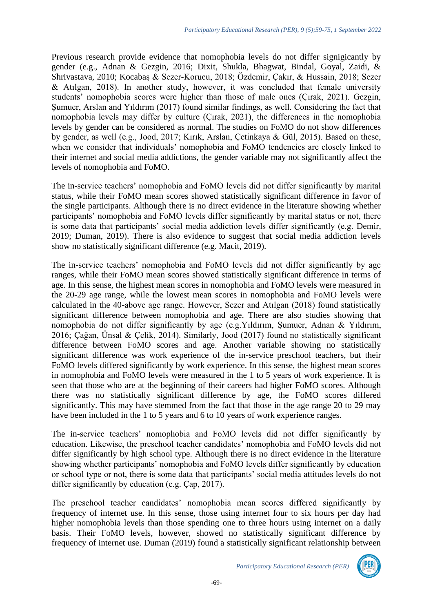Previous research provide evidence that nomophobia levels do not differ signigicantly by gender (e.g., Adnan & Gezgin, 2016; Dixit, Shukla, Bhagwat, Bindal, Goyal, Zaidi, & Shrivastava, 2010; Kocabaş & Sezer-Korucu, 2018; Özdemir, Çakır, & Hussain, 2018; Sezer & Atılgan, 2018). In another study, however, it was concluded that female university students' nomophobia scores were higher than those of male ones (Çırak, 2021). Gezgin, Şumuer, Arslan and Yıldırım (2017) found similar findings, as well. Considering the fact that nomophobia levels may differ by culture (Çırak, 2021), the differences in the nomophobia levels by gender can be considered as normal. The studies on FoMO do not show differences by gender, as well (e.g., Jood, 2017; Kırık, Arslan, Çetinkaya & Gül, 2015). Based on these, when we consider that individuals' nomophobia and FoMO tendencies are closely linked to their internet and social media addictions, the gender variable may not significantly affect the levels of nomophobia and FoMO.

The in-service teachers' nomophobia and FoMO levels did not differ significantly by marital status, while their FoMO mean scores showed statistically significant difference in favor of the single participants. Although there is no direct evidence in the literature showing whether participants' nomophobia and FoMO levels differ significantly by marital status or not, there is some data that participants' social media addiction levels differ significantly (e.g. Demir, 2019; Duman, 2019). There is also evidence to suggest that social media addiction levels show no statistically significant difference (e.g. Macit, 2019).

The in-service teachers' nomophobia and FoMO levels did not differ significantly by age ranges, while their FoMO mean scores showed statistically significant difference in terms of age. In this sense, the highest mean scores in nomophobia and FoMO levels were measured in the 20-29 age range, while the lowest mean scores in nomophobia and FoMO levels were calculated in the 40-above age range. However, Sezer and Atılgan (2018) found statistically significant difference between nomophobia and age. There are also studies showing that nomophobia do not differ significantly by age (e.g.Yıldırım, Şumuer, Adnan & Yıldırım, 2016; Çağan, Ünsal & Çelik, 2014). Similarly, Jood (2017) found no statistically significant difference between FoMO scores and age. Another variable showing no statistically significant difference was work experience of the in-service preschool teachers, but their FoMO levels differed significantly by work experience. In this sense, the highest mean scores in nomophobia and FoMO levels were measured in the 1 to 5 years of work experience. It is seen that those who are at the beginning of their careers had higher FoMO scores. Although there was no statistically significant difference by age, the FoMO scores differed significantly. This may have stemmed from the fact that those in the age range 20 to 29 may have been included in the 1 to 5 years and 6 to 10 years of work experience ranges.

The in-service teachers' nomophobia and FoMO levels did not differ significantly by education. Likewise, the preschool teacher candidates' nomophobia and FoMO levels did not differ significantly by high school type. Although there is no direct evidence in the literature showing whether participants' nomophobia and FoMO levels differ significantly by education or school type or not, there is some data that participants' social media attitudes levels do not differ significantly by education (e.g. Çap, 2017).

The preschool teacher candidates' nomophobia mean scores differed significantly by frequency of internet use. In this sense, those using internet four to six hours per day had higher nomophobia levels than those spending one to three hours using internet on a daily basis. Their FoMO levels, however, showed no statistically significant difference by frequency of internet use. Duman (2019) found a statistically significant relationship between

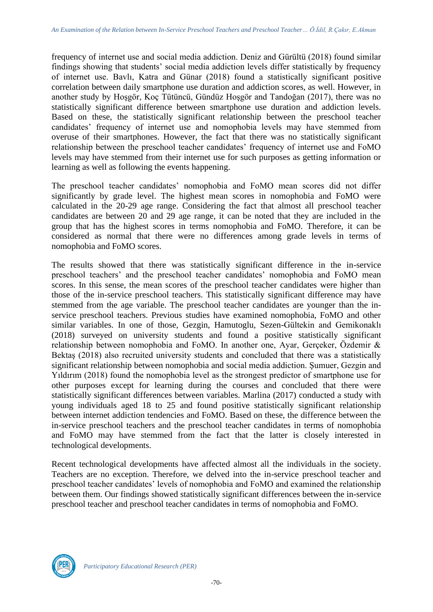frequency of internet use and social media addiction. Deniz and Gürültü (2018) found similar findings showing that students' social media addiction levels differ statistically by frequency of internet use. Bavlı, Katra and Günar (2018) found a statistically significant positive correlation between daily smartphone use duration and addiction scores, as well. However, in another study by Hoşgör, Koç Tütüncü, Gündüz Hoşgör and Tandoğan (2017), there was no statistically significant difference between smartphone use duration and addiction levels. Based on these, the statistically significant relationship between the preschool teacher candidates' frequency of internet use and nomophobia levels may have stemmed from overuse of their smartphones. However, the fact that there was no statistically significant relationship between the preschool teacher candidates' frequency of internet use and FoMO levels may have stemmed from their internet use for such purposes as getting information or learning as well as following the events happening.

The preschool teacher candidates' nomophobia and FoMO mean scores did not differ significantly by grade level. The highest mean scores in nomophobia and FoMO were calculated in the 20-29 age range. Considering the fact that almost all preschool teacher candidates are between 20 and 29 age range, it can be noted that they are included in the group that has the highest scores in terms nomophobia and FoMO. Therefore, it can be considered as normal that there were no differences among grade levels in terms of nomophobia and FoMO scores.

The results showed that there was statistically significant difference in the in-service preschool teachers' and the preschool teacher candidates' nomophobia and FoMO mean scores. In this sense, the mean scores of the preschool teacher candidates were higher than those of the in-service preschool teachers. This statistically significant difference may have stemmed from the age variable. The preschool teacher candidates are younger than the inservice preschool teachers. Previous studies have examined nomophobia, FoMO and other similar variables. In one of those, Gezgin, Hamutoglu, Sezen-Gültekin and Gemikonaklı (2018) surveyed on university students and found a positive statistically significant relationship between nomophobia and FoMO. In another one, Ayar, Gerçeker, Özdemir & Bektaş (2018) also recruited university students and concluded that there was a statistically significant relationship between nomophobia and social media addiction. Şumuer, Gezgin and Yıldırım (2018) found the nomophobia level as the strongest predictor of smartphone use for other purposes except for learning during the courses and concluded that there were statistically significant differences between variables. Marlina (2017) conducted a study with young individuals aged 18 to 25 and found positive statistically significant relationship between internet addiction tendencies and FoMO. Based on these, the difference between the in-service preschool teachers and the preschool teacher candidates in terms of nomophobia and FoMO may have stemmed from the fact that the latter is closely interested in technological developments.

Recent technological developments have affected almost all the individuals in the society. Teachers are no exception. Therefore, we delved into the in-service preschool teacher and preschool teacher candidates' levels of nomophobia and FoMO and examined the relationship between them. Our findings showed statistically significant differences between the in-service preschool teacher and preschool teacher candidates in terms of nomophobia and FoMO.

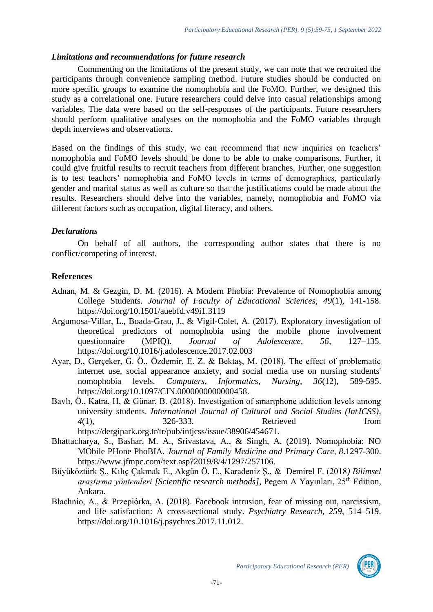#### *Limitations and recommendations for future research*

Commenting on the limitations of the present study, we can note that we recruited the participants through convenience sampling method. Future studies should be conducted on more specific groups to examine the nomophobia and the FoMO. Further, we designed this study as a correlational one. Future researchers could delve into casual relationships among variables. The data were based on the self-responses of the participants. Future researchers should perform qualitative analyses on the nomophobia and the FoMO variables through depth interviews and observations.

Based on the findings of this study, we can recommend that new inquiries on teachers' nomophobia and FoMO levels should be done to be able to make comparisons. Further, it could give fruitful results to recruit teachers from different branches. Further, one suggestion is to test teachers' nomophobia and FoMO levels in terms of demographics, particularly gender and marital status as well as culture so that the justifications could be made about the results. Researchers should delve into the variables, namely, nomophobia and FoMO via different factors such as occupation, digital literacy, and others.

# *Declarations*

On behalf of all authors, the corresponding author states that there is no conflict/competing of interest.

# **References**

- Adnan, M. & Gezgin, D. M. (2016). A Modern Phobia: Prevalence of Nomophobia among College Students. *Journal of Faculty of Educational Sciences, 49*(1), 141-158. https://doi.org/10.1501/auebfd.v49i1.3119
- Argumosa-Villar, L., Boada-Grau, J., & Vigil-Colet, A. (2017). Exploratory investigation of theoretical predictors of nomophobia using the mobile phone involvement questionnaire (MPIQ). *Journal of Adolescence, 56*, 127–135. <https://doi.org/10.1016/j.adolescence.2017.02.003>
- Ayar, D., Gerçeker, G. Ö., Özdemir, E. Z. & Bektaş, M. (2018). The effect of problematic internet use, social appearance anxiety, and social media use on nursing students' nomophobia levels. *Computers, Informatics, Nursing, 36*(12), 589-595. [https://doi.org/10.1097/CIN.0000000000000458.](https://doi.org/10.1097/CIN.0000000000000458)
- Bavlı, Ö., Katra, H, & Günar, B. (2018). Investigation of smartphone addiction levels among university students. *International Journal of Cultural and Social Studies (IntJCSS), 4*(1), 326-333. Retrieved from [https://dergipark.org.tr/tr/pub/intjcss/issue/38906/454671.](https://dergipark.org.tr/tr/pub/intjcss/issue/38906/454671)
- Bhattacharya, S., Bashar, M. A., Srivastava, A., & Singh, A. (2019). Nomophobia: NO MObile PHone PhoBIA. *Journal of Family Medicine and Primary Care, 8*.1297-300. [https://www.jfmpc.com/text.asp?2019/8/4/1297/257106.](https://www.jfmpc.com/text.asp?2019/8/4/1297/257106)
- Büyüköztürk Ş., Kılıç Çakmak E., Akgün Ö. E., Karadeniz Ş., & Demirel F. (2018*) Bilimsel araştırma yöntemleri [Scientific research methods],* Pegem A Yayınları, 25th Edition, Ankara.
- Błachnio, A., & Przepiórka, A. (2018). Facebook intrusion, fear of missing out, narcissism, and life satisfaction: A cross-sectional study. *Psychiatry Research, 259*, 514–519. [https://doi.org/10.1016/j.psychres.2017.11.012.](https://doi.org/10.1016/j.psychres.2017.11.012)

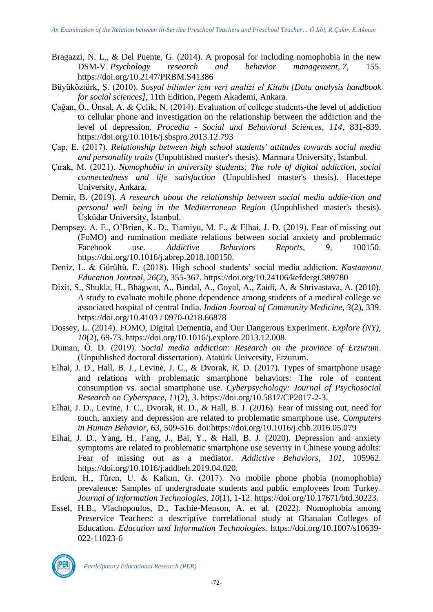- Bragazzi, N. L., & Del Puente, G. (2014). A proposal for including nomophobia in the new DSM-V. *Psychology research and behavior management*, *7*, 155. https://doi.org[/10.2147/PRBM.S41386](https://dx.doi.org/10.2147%2FPRBM.S41386)
- Büyüköztürk, Ş. (2010). *Sosyal bilimler için veri analizi el Kitabı [Data analysis handbook for social sciences]*, 11th Edition, Pegem Akademi, Ankara.
- Çağan, Ö., Ünsal, A. & Çelik, N. (2014). Evaluation of college students-the level of addiction to cellular phone and investigation on the relationship between the addiction and the level of depression. *Procedia - Social and Behavioral Sciences, 114*, 831-839. https://doi.org/10.1016/j.sbspro.2013.12.793
- Çap, E. (2017). *Relationship between high school students' attitudes towards social media and personality traits* (Unpublished master's thesis). Marmara University, İstanbul.
- Çırak, M. (2021). *Nomophobia in university students: The role of digital addiction, social connectedness and life satisfaction* (Unpublished master's thesis). Hacettepe University, Ankara.
- Demir, B. (2019). *A research about the relationship between social media addie-tion and personal well being in the Mediterranean Region* (Unpublished master's thesis). Üsküdar University, İstanbul.
- Dempsey, A. E., O'Brien, K. D., Tiamiyu, M. F., & Elhai, J. D. (2019). Fear of missing out (FoMO) and rumination mediate relations between social anxiety and problematic Facebook use. *Addictive Behaviors Reports, 9*, 100150. https://doi.org/10.1016/j.abrep.2018.100150.
- Denı̇z, L. & Gürültü, E. (2018). High school students' social media addiction. *Kastamonu Education Journal, 26*(2), 355-367. https://doi.org/10.24106/kefdergi.389780
- Dixit, S., Shukla, H., Bhagwat, A., Bindal, A., Goyal, A., Zaidi, A. & Shrivastava, A. (2010). A study to evaluate mobile phone dependence among students of a medical college ve associated hospital of central India. *Indian Journal of Community Medicine, 3*(2), 339. https://doi.org/10.4103 / 0970-0218.66878
- Dossey, L. (2014). FOMO, Digital Dementia, and Our Dangerous Experiment. *Explore (NY)*, *10*(2), 69-73. [https://doi.org/10.1016/j.explore.2013.12.008.](https://doi.org/10.1016/j.explore.2013.12.008)
- Duman, Ö. D. (2019). *Social media addiction: Research on the province of Erzurum*. (Unpublished doctoral dissertation). Atatürk University, Erzurum.
- Elhai, J. D., Hall, B. J., Levine, J. C., & Dvorak, R. D. (2017). Types of smartphone usage and relations with problematic smartphone behaviors: The role of content consumption vs. social smartphone use. *Cyberpsychology: Journal of Psychosocial Research on Cyberspace, 11*(2), 3. [https://doi.org/10.5817/CP2017-2-3.](https://doi.org/10.5817/CP2017-2-3)
- Elhai, J. D., Levine, J. C., Dvorak, R. D., & Hall, B. J. (2016). Fear of missing out, need for touch, anxiety and depression are related to problematic smartphone use. *Computers in Human Behavior, 63*, 509-516. doi:https://doi.org/10.1016/j.chb.2016.05.079
- Elhai, J. D., Yang, H., Fang, J., Bai, Y., & Hall, B. J. (2020). Depression and anxiety symptoms are related to problematic smartphone use severity in Chinese young adults: Fear of missing out as a mediator. *Addictive Behaviors, 101*, 105962. https://doi.org/10.1016/j.addbeh.2019.04.020.
- Erdem, H., Türen, U. & Kalkın, G. (2017). No mobile phone phobia (nomophobia) prevalence: Samples of undergraduate students and public employees from Turkey. *Journal of Information Technologies, 10*(1), 1-12. [https://doi.org/10.17671/btd.30223.](https://doi.org/10.17671/btd.30223)
- Essel, H.B., Vlachopoulos, D., Tachie-Menson, A. et al. (2022). Nomophobia among Preservice Teachers: a descriptive correlational study at Ghanaian Colleges of Education. *Education and Information Technologies.* https://doi.org/10.1007/s10639- 022-11023-6



*Participatory Educational Research (PER)*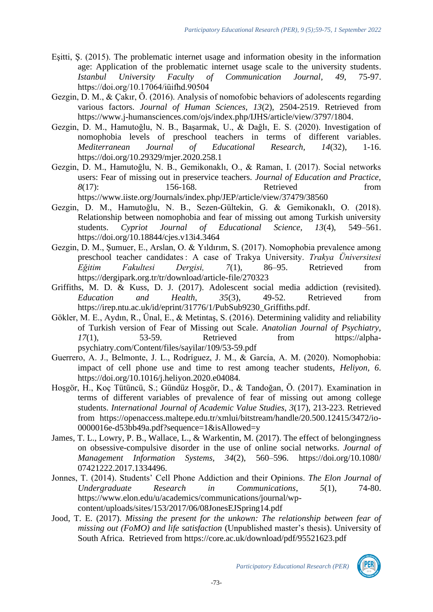- Eşitti, Ş. (2015). The problematic internet usage and information obesity in the information age: Application of the problematic internet usage scale to the university students.<br> *Istanbul University Faculty of Communication Journal*, 49, 75-97. *Istanbul University Faculty of Communication Journal, 49*, 75-97. <https://doi.org/10.17064/iüifhd.90504>
- Gezgin, D. M., & Çakır, Ö. (2016). Analysis of nomofobic behaviors of adolescents regarding various factors. *Journal of Human Sciences, 13*(2), 2504-2519. Retrieved from [https://www.j-humansciences.com/ojs/index.php/IJHS/article/view/3797/1804.](https://www.j-humansciences.com/ojs/index.php/IJHS/article/view/3797/1804)
- Gezgin, D. M., Hamutoğlu, N. B., Başarmak, U., & Dağlı, E. S. (2020). Investigation of nomophobia levels of preschool teachers in terms of different variables. *Mediterranean Journal of Educational Research, 14*(32), 1-16. https://doi.org/10.29329/mjer.2020.258.1
- Gezgin, D. M., Hamutoğlu, N. B., Gemikonaklı, O., & Raman, I. (2017). Social networks users: Fear of missing out in preservice teachers. *Journal of Education and Practice, 8*(17): 156-168. Retrieved from <https://www.iiste.org/Journals/index.php/JEP/article/view/37479/38560>
- Gezgin, D. M., Hamutoğlu, N. B., Sezen-Gültekin, G. & Gemikonaklı, O. (2018). Relationship between nomophobia and fear of missing out among Turkish university students. *Cypriot Journal of Educational Science, 13*(4), 549–561. <https://doi.org/10.18844/cjes.v13i4.3464>
- Gezgin, D. M., Şumuer, E., Arslan, O. & Yıldırım, S. (2017). Nomophobia prevalence among preschool teacher candidates : A case of Trakya University. *Trakya Üniversitesi Eğitim Fakultesi Dergisi, 7*(1), 86–95. Retrieved from https://dergipark.org.tr/tr/download/article-file/270323
- Griffiths, M. D. & Kuss, D. J. (2017). Adolescent social media addiction (revisited). *Education and Health, 35*(3), 49-52. Retrieved from https://irep.ntu.ac.uk/id/eprint/31776/1/PubSub9230\_Griffiths.pdf.
- Gökler, M. E., Aydın, R., Ünal, E., & Metintaş, S. (2016). Determining validity and reliability of Turkish version of Fear of Missing out Scale. *Anatolian Journal of Psychiatry, 17*(1), 53-59. Retrieved from https://alphapsychiatry.com/Content/files/sayilar/109/53-59.pdf
- Guerrero, A. J., Belmonte, J. L., Rodríguez, J. M., & García, A. M. (2020). Nomophobia: impact of cell phone use and time to rest among teacher students, *Heliyon, 6*. https://doi.org/10.1016/j.heliyon.2020.e04084.
- Hoşgör, H., Koç Tütüncü, S.; Gündüz Hoşgör, D., & Tandoğan, Ö. (2017). Examination in terms of different variables of prevalence of fear of missing out among college students. *International Journal of Academic Value Studies, 3*(17), 213-223. Retrieved from [https://openaccess.maltepe.edu.tr/xmlui/bitstream/handle/20.500.12415/3472/io-](https://openaccess.maltepe.edu.tr/xmlui/bitstream/handle/20.500.12415/3472/io-0000016e-d53bb49a.pdf?sequence=1&isAllowed=y)[0000016e-d53bb49a.pdf?sequence=1&isAllowed=y](https://openaccess.maltepe.edu.tr/xmlui/bitstream/handle/20.500.12415/3472/io-0000016e-d53bb49a.pdf?sequence=1&isAllowed=y)
- James, T. L., Lowry, P. B., Wallace, L., & Warkentin, M. (2017). The effect of belongingness on obsessive-compulsive disorder in the use of online social networks. *Journal of Management Information Systems, 34*(2), 560–596. https://doi.org/10.1080/ 07421222.2017.1334496.
- Jonnes, T. (2014). Students' Cell Phone Addiction and their Opinions. *The Elon Journal of Undergraduate Research in Communications*, *5*(1), 74-80. [https://www.elon.edu/u/academics/communications/journal/wp](https://www.elon.edu/u/academics/communications/journal/wp-content/uploads/sites/153/2017/06/08JonesEJSpring14.pdf)[content/uploads/sites/153/2017/06/08JonesEJSpring14.pdf](https://www.elon.edu/u/academics/communications/journal/wp-content/uploads/sites/153/2017/06/08JonesEJSpring14.pdf)
- Jood, T. E. (2017). *Missing the present for the unkown: The relationship between fear of missing out (FoMO) and life satisfaction* (Unpublished master's thesis). University of South Africa. Retrieved from<https://core.ac.uk/download/pdf/95521623.pdf>

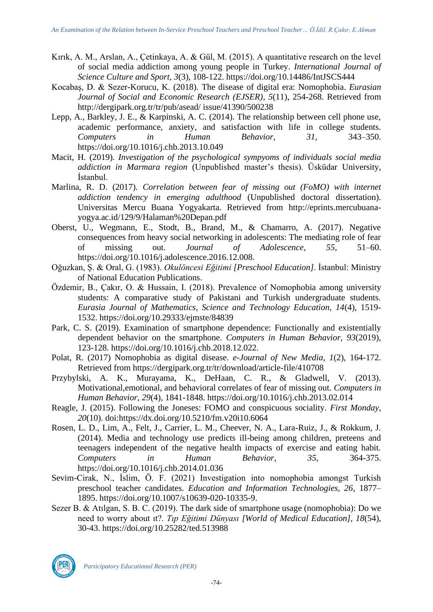- Kırık, A. M., Arslan, A., Çetinkaya, A. & Gül, M. (2015). A quantitative research on the level of social media addiction among young people in Turkey. *International Journal of Science Culture and Sport, 3*(3), 108-122. https://doi.org/10.14486/IntJSCS444
- Kocabaş, D. & Sezer-Korucu, K. (2018). The disease of digital era: Nomophobia. *Eurasian Journal of Social and Economic Research (EJSER), 5*(11), 254-268. Retrieved from http://dergipark.org.tr/tr/pub/asead/ issue/41390/500238
- Lepp, A., Barkley, J. E., & Karpinski, A. C. (2014). The relationship between cell phone use, academic performance, anxiety, and satisfaction with life in college students. *Computers in Human Behavior, 31*, 343–350. https://doi.org/10.1016/j.chb.2013.10.049
- Macit, H. (2019). *Investigation of the psychological sympyoms of individuals social media addiction in Marmara region* (Unpublished master's thesis). Üsküdar University, İstanbul.
- Marlina, R. D. (2017). *Correlation between fear of missing out (FoMO) with internet addiction tendency in emerging adulthood* (Unpublished doctoral dissertation). Universitas Mercu Buana Yogyakarta. Retrieved from [http://eprints.mercubuana](http://eprints.mercubuana-yogya.ac.id/129/9/Halaman%20Depan.pdf)[yogya.ac.id/129/9/Halaman%20Depan.pdf](http://eprints.mercubuana-yogya.ac.id/129/9/Halaman%20Depan.pdf)
- Oberst, U., Wegmann, E., Stodt, B., Brand, M., & Chamarro, A. (2017). Negative consequences from heavy social networking in adolescents: The mediating role of fear of missing out. *Journal of Adolescence, 55*, 51–60. https://doi.org/10.1016/j.adolescence.2016.12.008.
- Oğuzkan, Ş. & Oral, G. (1983). *Okulöncesi Eğitimi [Preschool Education]*. İstanbul: Ministry of National Education Publications.
- Özdemir, B., Çakır, O. & Hussain, I. (2018). Prevalence of Nomophobia among university students: A comparative study of Pakistani and Turkish undergraduate students. *Eurasia Journal of Mathematics, Science and Technology Education, 14*(4), 1519- 1532. https://doi.org/10.29333/ejmste/84839
- Park, C. S. (2019). Examination of smartphone dependence: Functionally and existentially dependent behavior on the smartphone. *Computers in Human Behavior, 93*(2019), 123-128. https://doi.org/10.1016/j.chb.2018.12.022.
- Polat, R. (2017) Nomophobia as digital disease. *e-Journal of New Media, 1*(2), 164-172. Retrieved from<https://dergipark.org.tr/tr/download/article-file/410708>
- Przybylski, A. K., Murayama, K., DeHaan, C. R., & Gladwell, V. (2013). Motivational,emotional, and behavioral correlates of fear of missing out. *Computers in Human Behavior, 29*(4), 1841-1848. [https://doi.org/10.1016/j.chb.2013.02.014](https://psycnet.apa.org/doi/10.1016/j.chb.2013.02.014)
- Reagle, J. (2015). Following the Joneses: FOMO and conspicuous sociality. *First Monday, 20*(10). doi:https://dx.doi.org/10.5210/fm.v20i10.6064
- Rosen, L. D., Lim, A., Felt, J., Carrier, L. M., Cheever, N. A., Lara-Ruiz, J., & Rokkum, J. (2014). Media and technology use predicts ill-being among children, preteens and teenagers independent of the negative health impacts of exercise and eating habit. *Computers in Human Behavior, 35*, 364-375. https://doi.org[/10.1016/j.chb.2014.01.036](https://doi.org/10.1016/j.chb.2014.01.036)
- Sevim-Cirak, N., İslim, Ö. F. (2021) Investigation into nomophobia amongst Turkish preschool teacher candidates. *Education and Information Technologies, 26*, 1877– 1895. https://doi.org/10.1007/s10639-020-10335-9.
- Sezer B. & Atılgan, S. B. C. (2019). The dark side of smartphone usage (nomophobia): Do we need to worry about ıt?. *Tıp Eğitimi Dünyası [World of Medical Education], 18*(54), 30-43. https://doi.org/10.25282/ted.513988